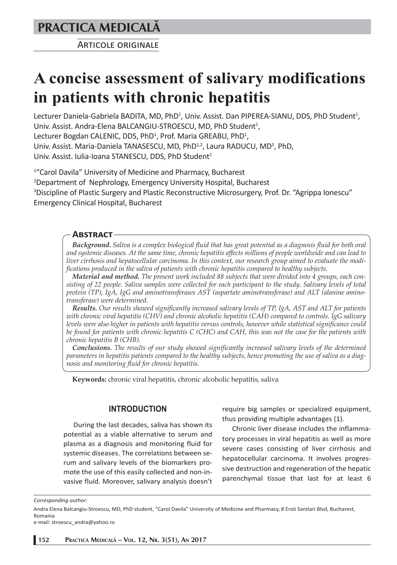**PRACTICA MEDICALÅ**

ARTICOLE ORIGINALE

# **A concise assessment of salivary modifications in patients with chronic hepatitis**

Lecturer Daniela-Gabriela BADITA, MD, PhD<sup>1</sup>, Univ. Assist. Dan PIPEREA-SIANU, DDS, PhD Student<sup>1</sup>, Univ. Assist. Andra-Elena BALCANGIU-STROESCU, MD, PhD Student<sup>1</sup>, Lecturer Bogdan CALENIC, DDS, PhD<sup>1</sup>, Prof. Maria GREABU, PhD<sup>1</sup>, Univ. Assist. Maria-Daniela TANASESCU, MD, PhD<sup>1,2</sup>, Laura RADUCU, MD<sup>3</sup>, PhD, Univ. Assist. Iulia-Ioana STANESCU, DDS, PhD Student<sup>1</sup>

1 "Carol Davila" University of Medicine and Pharmacy, Bucharest 2 Department of Nephrology, Emergency University Hospital, Bucharest <sup>3</sup>Discipline of Plastic Surgery and Plastic Reconstructive Microsurgery, Prof. Dr. "Agrippa Ionescu" Emergency Clinical Hospital, Bucharest

## **ABSTRACT**

*Background. Saliva is a complex biological fluid that has great potential as a diagnosis fluid for both oral and systemic diseases. At the same time, chronic hepatitis affects millions of people worldwide and can lead to liver cirrhosis and hepatocellular carcinoma. In this context, our research group aimed to evaluate the modifications produced in the saliva of patients with chronic hepatitis compared to healthy subjects.* 

*Material and method. The present work included 88 subjects that were divided into 4 groups, each consisting of 22 people. Saliva samples were collected for each participant to the study. Salivary levels of total protein (TP), IgA, IgG and aminotransferases AST (aspartate aminotransferase) and ALT (alanine aminotransferase) were determined.*

*Results. Our results showed significantly increased salivary levels of TP, IgA, AST and ALT for patients with chronic viral hepatitis (CHV) and chronic alcoholic hepatitis (CAH) compared to controls. IgG salivary levels were also higher in patients with hepatitis versus controls, however while statistical significance could be found for patients with chronic hepatitis C (CHC) and CAH, this was not the case for the patients with chronic hepatitis B (CHB).*

*Conclusions. The results of our study showed significantly increased salivary levels of the determined parameters in hepatitis patients compared to the healthy subjects, hence promoting the use of saliva as a diagnosis and monitoring fluid for chronic hepatitis.*

**Keywords:** chronic viral hepatitis, chronic alcoholic hepatitis, saliva

# **INTRODUCTION**

During the last decades, saliva has shown its potential as a viable alternative to serum and plasma as a diagnosis and monitoring fluid for systemic diseases. The correlations between serum and salivary levels of the biomarkers promote the use of this easily collected and non-invasive fluid. Moreover, salivary analysis doesn't require big samples or specialized equipment, thus providing multiple advantages (1).

Chronic liver disease includes the inflammatory processes in viral hepatitis as well as more severe cases consisting of liver cirrhosis and hepatocellular carcinoma. It involves progressive destruction and regeneration of the hepatic parenchymal tissue that last for at least 6

*Corresponding author:* 

Andra Elena Balcangiu-Stroescu, MD, PhD student, "Carol Davila" University of Medicine and Pharmacy, 8 Eroii Sanitari Blvd, Bucharest, Romania

e-mail: stroescu\_andra@yahoo.ro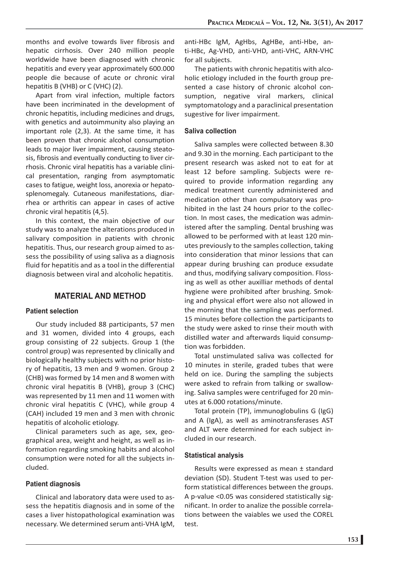months and evolve towards liver fibrosis and hepatic cirrhosis. Over 240 million people worldwide have been diagnosed with chronic hepatitis and every year approximately 600.000 people die because of acute or chronic viral hepatitis B (VHB) or C (VHC) (2).

Apart from viral infection, multiple factors have been incriminated in the development of chronic hepatitis, including medicines and drugs, with genetics and autoimmunity also playing an important role (2,3). At the same time, it has been proven that chronic alcohol consumption leads to major liver impairment, causing steatosis, fibrosis and eventually conducting to liver cirrhosis. Chronic viral hepatitis has a variable clinical presentation, ranging from asymptomatic cases to fatigue, weight loss, anorexia or hepatosplenomegaly. Cutaneous manifestations, diarrhea or arthritis can appear in cases of active chronic viral hepatitis (4,5).

In this context, the main objective of our study was to analyze the alterations produced in salivary composition in patients with chronic hepatitis. Thus, our research group aimed to assess the possibility of using saliva as a diagnosis fluid for hepatitis and as a tool in the differential diagnosis between viral and alcoholic hepatitis.

# **MATERIAL AND METHOD**

### **Patient selection**

Our study included 88 participants, 57 men and 31 women, divided into 4 groups, each group consisting of 22 subjects. Group 1 (the control group) was represented by clinically and biologically healthy subjects with no prior history of hepatitis, 13 men and 9 women. Group 2 (CHB) was formed by 14 men and 8 women with chronic viral hepatitis B (VHB), group 3 (CHC) was represented by 11 men and 11 women with chronic viral hepatitis C (VHC), while group 4 (CAH) included 19 men and 3 men with chronic hepatitis of alcoholic etiology.

Clinical parameters such as age, sex, geographical area, weight and height, as well as information regarding smoking habits and alcohol consumption were noted for all the subjects included.

### **Patient diagnosis**

Clinical and laboratory data were used to assess the hepatitis diagnosis and in some of the cases a liver histopathological examination was necessary. We determined serum anti-VHA IgM,

anti-HBc IgM, AgHbs, AgHBe, anti-Hbe, anti-HBc, Ag-VHD, anti-VHD, anti-VHC, ARN-VHC for all subjects.

The patients with chronic hepatitis with alcoholic etiology included in the fourth group presented a case history of chronic alcohol consumption, negative viral markers, clinical symptomatology and a paraclinical presentation sugestive for liver impairment.

#### **Saliva collection**

Saliva samples were collected between 8.30 and 9.30 in the morning. Each participant to the present research was asked not to eat for at least 12 before sampling. Subjects were required to provide information regarding any medical treatment curently administered and medication other than compulsatory was prohibited in the last 24 hours prior to the collection. In most cases, the medication was administered after the sampling. Dental brushing was allowed to be performed with at least 120 minutes previously to the samples collection, taking into consideration that minor lessions that can appear during brushing can produce exsudate and thus, modifying salivary composition. Flossing as well as other auxilliar methods of dental hygiene were prohibited after brushing. Smoking and physical effort were also not allowed in the morning that the sampling was performed. 15 minutes before collection the participants to the study were asked to rinse their mouth with distilled water and afterwards liquid consumption was forbidden.

Total unstimulated saliva was collected for 10 minutes in sterile, graded tubes that were held on ice. During the sampling the subjects were asked to refrain from talking or swallowing. Saliva samples were centrifuged for 20 minutes at 6.000 rotations/minute.

Total protein (TP), immunoglobulins G (IgG) and A (IgA), as well as aminotransferases AST and ALT were determined for each subject included in our research.

### **Statistical analysis**

Results were expressed as mean ± standard deviation (SD). Student T-test was used to perform statistical differences between the groups. A p-value <0.05 was considered statistically significant. In order to analize the possible correlations between the vaiables we used the COREL test.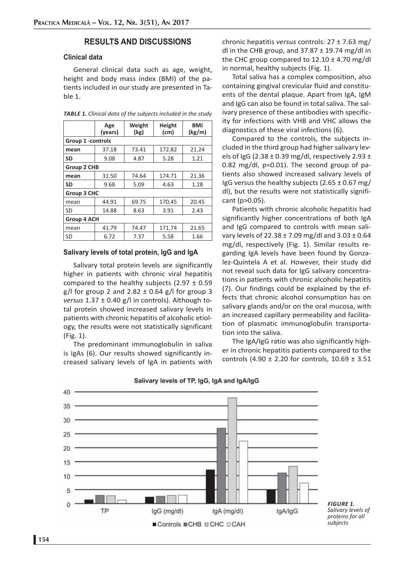# **RESULTS AND DISCUSSIONS**

## **Clinical data**

General clinical data such as age, weight, height and body mass index (BMI) of the patients included in our study are presented in Table 1.

| TABLE 1. Clinical data of the subjects included in the study |  |
|--------------------------------------------------------------|--|
|--------------------------------------------------------------|--|

|                    | Age<br>(years) | Weight<br>(kg) | Height<br>(cm) | BMI<br>(kg/m) |  |  |
|--------------------|----------------|----------------|----------------|---------------|--|--|
| Group 1 -controls  |                |                |                |               |  |  |
| mean               | 37.18          | 73.41          | 172.82         | 21.24         |  |  |
| <b>SD</b>          | 9.08           | 4.87           | 5.28           | 1.21          |  |  |
| <b>Group 2 CHB</b> |                |                |                |               |  |  |
| mean               | 31.50          | 74.64          | 174.71         | 21.36         |  |  |
| <b>SD</b>          | 9.68           | 5.09           | 4.63           | 1.28          |  |  |
| <b>Group 3 CHC</b> |                |                |                |               |  |  |
| mean               | 44.91          | 69.75          | 170.45         | 20.45         |  |  |
| SD                 | 14.88          | 8.63           | 3.91           | 2.43          |  |  |
| Group 4 ACH        |                |                |                |               |  |  |
| mean               | 41.79          | 74.47          | 171.74         | 21.65         |  |  |
| SD                 | 6.72           | 7.37           | 5.58           | 1.66          |  |  |

#### **Salivary levels of total protein, IgG and IgA**

Salivary total protein levels are significantly higher in patients with chronic viral hepatitis compared to the healthy subjects (2.97  $\pm$  0.59 g/l for group 2 and  $2.82 \pm 0.64$  g/l for group 3 *versus* 1.37 ± 0.40 g/l in controls). Although total protein showed increased salivary levels in patients with chronic hepatitis of alcoholic etiology, the results were not statistically significant (Fig. 1).

The predominant immunoglobulin in saliva is IgAs (6). Our results showed significantly increased salivary levels of IgA in patients with chronic hepatitis *versus* controls: 27 ± 7.63 mg/ dl in the CHB group, and  $37.87 \pm 19.74$  mg/dl in the CHC group compared to  $12.10 \pm 4.70$  mg/dl in normal, healthy subjects (Fig. 1).

Total saliva has a complex composition, also containing gingival crevicular fluid and constituents of the dental plaque. Apart from IgA, IgM and IgG can also be found in total saliva. The salivary presence of these antibodies with specificity for infections with VHB and VHC allows the diagnostics of these viral infections (6).

Compared to the controls, the subjects included in the third group had higher salivary levels of IgG (2.38  $\pm$  0.39 mg/dl, respectively 2.93  $\pm$ 0.82 mg/dl, p=0.01). The second group of patients also showed increased salivary levels of IgG versus the healthy subjects (2.65  $\pm$  0.67 mg/ dl), but the results were not statistically significant (p>0.05).

Patients with chronic alcoholic hepatitis had significantly higher concentrations of both IgA and IgG compared to controls with mean salivary levels of  $22.38 \pm 7.09$  mg/dl and  $3.03 \pm 0.64$ mg/dl, respectively (Fig. 1). Similar results regarding IgA levels have been found by Gonzalez-Quintela A et al. However, their study did not reveal such data for IgG salivary concentrations in patients with chronic alcoholic hepatitis (7). Our findings could be explained by the effects that chronic alcohol consumption has on salivary glands and/or on the oral mucosa, with an increased capillary permeability and facilitation of plasmatic immunoglobulin transportation into the saliva.

The IgA/IgG ratio was also significantly higher in chronic hepatitis patients compared to the controls (4.90  $\pm$  2.20 for controls, 10.69  $\pm$  3.51



#### Salivary levels of TP, IgG, IgA and IgA/IgG

*FIGURE 1. Salivary levels of proteins for all subjects*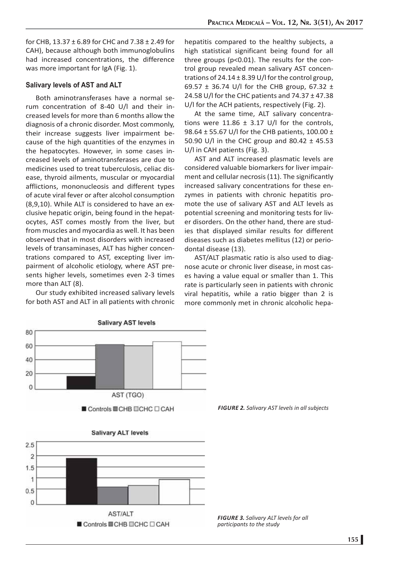for CHB, 13.37 ± 6.89 for CHC and 7.38 ± 2.49 for CAH), because although both immunoglobulins had increased concentrations, the difference was more important for IgA (Fig. 1).

## **Salivary levels of AST and ALT**

Both aminotransferases have a normal serum concentration of 8-40 U/l and their increased levels for more than 6 months allow the diagnosis of a chronic disorder. Most commonly, their increase suggests liver impairment because of the high quantities of the enzymes in the hepatocytes. However, in some cases increased levels of aminotransferases are due to medicines used to treat tuberculosis, celiac disease, thyroid ailments, muscular or myocardial afflictions, mononucleosis and different types of acute viral fever or after alcohol consumption (8,9,10). While ALT is considered to have an exclusive hepatic origin, being found in the hepatocytes, AST comes mostly from the liver, but from muscles and myocardia as well. It has been observed that in most disorders with increased levels of transaminases, ALT has higher concentrations compared to AST, excepting liver impairment of alcoholic etiology, where AST presents higher levels, sometimes even 2-3 times more than ALT (8).

Our study exhibited increased salivary levels for both AST and ALT in all patients with chronic

**Salivary AST levels** 

hepatitis compared to the healthy subjects, a high statistical significant being found for all three groups (p<0.01). The results for the control group revealed mean salivary AST concentrations of  $24.14 \pm 8.39$  U/I for the control group, 69.57  $\pm$  36.74 U/I for the CHB group, 67.32  $\pm$ 24.58 U/l for the CHC patients and 74.37 ± 47.38 U/l for the ACH patients, respectively (Fig. 2).

At the same time, ALT salivary concentrations were 11.86  $\pm$  3.17 U/I for the controls, 98.64 ± 55.67 U/l for the CHB patients, 100.00 ± 50.90 U/l in the CHC group and 80.42 ± 45.53 U/l in CAH patients (Fig. 3).

AST and ALT increased plasmatic levels are considered valuable biomarkers for liver impairment and cellular necrosis (11). The significantly increased salivary concentrations for these enzymes in patients with chronic hepatitis promote the use of salivary AST and ALT levels as potential screening and monitoring tests for liver disorders. On the other hand, there are studies that displayed similar results for different diseases such as diabetes mellitus (12) or periodontal disease (13).

AST/ALT plasmatic ratio is also used to diagnose acute or chronic liver disease, in most cases having a value equal or smaller than 1. This rate is particularly seen in patients with chronic viral hepatitis, while a ratio bigger than 2 is more commonly met in chronic alcoholic hepa-



*FIGURE 2. Salivary AST levels in all subjects*

*FIGURE 3. Salivary ALT levels for all*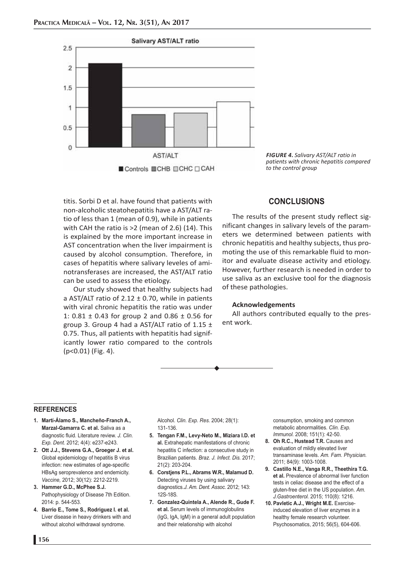

titis. Sorbi D et al. have found that patients with non-alcoholic steatohepatitis have a AST/ALT ratio of less than 1 (mean of 0.9), while in patients with CAH the ratio is >2 (mean of 2.6) (14). This is explained by the more important increase in AST concentration when the liver impairment is caused by alcohol consumption. Therefore, in cases of hepatitis where salivary leveles of aminotransferases are increased, the AST/ALT ratio can be used to assess the etiology.

Our study showed that healthy subjects had a AST/ALT ratio of 2.12  $\pm$  0.70, while in patients with viral chronic hepatitis the ratio was under 1: 0.81 ± 0.43 for group 2 and 0.86 ± 0.56 for group 3. Group 4 had a AST/ALT ratio of  $1.15 \pm 1$ 0.75. Thus, all patients with hepatitis had significantly lower ratio compared to the controls (p<0.01) (Fig. 4).

*FIGURE 4***.** *Salivary AST/ALT ratio in patients with chronic hepatitis compared to the control group*

## **CONCLUSIONS**

The results of the present study reflect significant changes in salivary levels of the parameters we determined between patients with chronic hepatitis and healthy subjects, thus promoting the use of this remarkable fluid to monitor and evaluate disease activity and etiology. However, further research is needed in order to use saliva as an exclusive tool for the diagnosis of these pathologies.

#### **Acknowledgements**

All authors contributed equally to the present work.

#### **REFERENCES**

- **1. Martí-Álamo S., Mancheño-Franch A., Marzal-Gamarra C. et al.** Saliva as a diagnostic fluid. Literature review. *J. Clin. Exp. Dent.* 2012; 4(4): e237-e243.
- **2. Ott J.J., Stevens G.A., Groeger J. et al.**  Global epidemiology of hepatitis B virus infection: new estimates of age-specific HBsAg seroprevalence and endemicity. *Vaccine,* 2012; 30(12): 2212-2219.
- **3. Hammer G.D., McPhee S.J.**  Pathophysiology of Disease 7th Edition. 2014: p. 544-553.
- **4. Barrio E., Tome S., Rodriguez I. et al.** Liver disease in heavy drinkers with and without alcohol withdrawal syndrome.

Alcohol. *Clin. Exp. Res.* 2004; 28(1): 131-136.

- **5. Tengan F.M., Levy-Neto M., Miziara I.D. et al.** Extrahepatic manifestations of chronic hepatitis C infection: a consecutive study in Brazilian patients. *Braz. J. Infect. Dis.* 2017; 21(2): 203-204.
- **6. Corstjens P.L., Abrams W.R., Malamud D.** Detecting viruses by using salivary diagnostics.*J. Am. Dent. Assoc.* 2012; 143: 12S-18S.
- **7. Gonzalez-Quintela A., Alende R., Gude F. et al.** Serum levels of immunoglobulins (IgG, IgA, IgM) in a general adult population and their relationship with alcohol

consumption, smoking and common metabolic abnormalities. *Clin. Exp. Immunol.* 2008; 151(1): 42-50.

- 8. Oh R.C., Hustead T.R. Causes and evaluation of mildly elevated liver transaminase levels. *Am. Fam. Physician.*  2011; 84(9): 1003-1008.
- **9. Castillo N.E., Vanga R.R., Theethira T.G. et al.** Prevalence of abnormal liver function tests in celiac disease and the effect of a gluten-free diet in the US population. *Am. J.Gastroenterol.* 2015; 110(8): 1216.
- **10. Pavletic A.J., Wright M.E.** Exerciseinduced elevation of liver enzymes in a healthy female research volunteer. Psychosomatics, 2015; 56(5), 604-606.